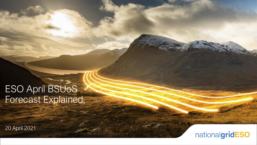## ESO April BSUoS Forecast Explained

20 April 2021